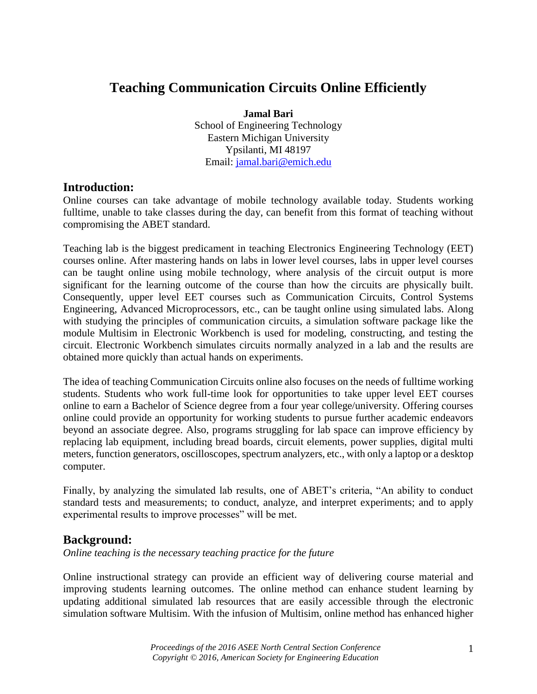# **Teaching Communication Circuits Online Efficiently**

**Jamal Bari** School of Engineering Technology Eastern Michigan University Ypsilanti, MI 48197 Email: jamal.bari@emich.edu

## **Introduction:**

Online courses can take advantage of mobile technology available today. Students working fulltime, unable to take classes during the day, can benefit from this format of teaching without compromising the ABET standard.

Teaching lab is the biggest predicament in teaching Electronics Engineering Technology (EET) courses online. After mastering hands on labs in lower level courses, labs in upper level courses can be taught online using mobile technology, where analysis of the circuit output is more significant for the learning outcome of the course than how the circuits are physically built. Consequently, upper level EET courses such as Communication Circuits, Control Systems Engineering, Advanced Microprocessors, etc., can be taught online using simulated labs. Along with studying the principles of communication circuits, a simulation software package like the module Multisim in Electronic Workbench is used for modeling, constructing, and testing the circuit. Electronic Workbench simulates circuits normally analyzed in a lab and the results are obtained more quickly than actual hands on experiments.

The idea of teaching Communication Circuits online also focuses on the needs of fulltime working students. Students who work full-time look for opportunities to take upper level EET courses online to earn a Bachelor of Science degree from a four year college/university. Offering courses online could provide an opportunity for working students to pursue further academic endeavors beyond an associate degree. Also, programs struggling for lab space can improve efficiency by replacing lab equipment, including bread boards, circuit elements, power supplies, digital multi meters, function generators, oscilloscopes, spectrum analyzers, etc., with only a laptop or a desktop computer.

Finally, by analyzing the simulated lab results, one of ABET's criteria, "An ability to conduct standard tests and measurements; to conduct, analyze, and interpret experiments; and to apply experimental results to improve processes" will be met.

## **Background:**

*Online teaching is the necessary teaching practice for the future*

Online instructional strategy can provide an efficient way of delivering course material and improving students learning outcomes. The online method can enhance student learning by updating additional simulated lab resources that are easily accessible through the electronic simulation software Multisim. With the infusion of Multisim, online method has enhanced higher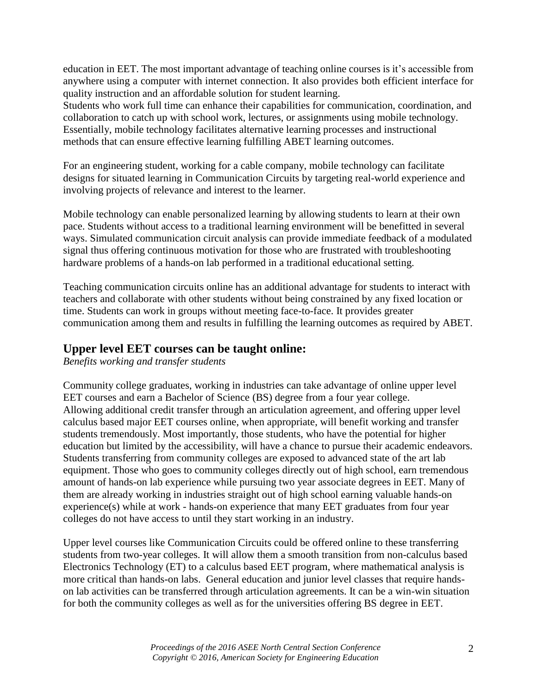education in EET. The most important advantage of teaching online courses is it's accessible from anywhere using a computer with internet connection. It also provides both efficient interface for quality instruction and an affordable solution for student learning.

Students who work full time can enhance their capabilities for communication, coordination, and collaboration to catch up with school work, lectures, or assignments using mobile technology. Essentially, mobile technology facilitates alternative learning processes and instructional methods that can ensure effective learning fulfilling ABET learning outcomes.

For an engineering student, working for a cable company, mobile technology can facilitate designs for situated learning in Communication Circuits by targeting real-world experience and involving projects of relevance and interest to the learner.

Mobile technology can enable personalized learning by allowing students to learn at their own pace. Students without access to a traditional learning environment will be benefitted in several ways. Simulated communication circuit analysis can provide immediate feedback of a modulated signal thus offering continuous motivation for those who are frustrated with troubleshooting hardware problems of a hands-on lab performed in a traditional educational setting.

Teaching communication circuits online has an additional advantage for students to interact with teachers and collaborate with other students without being constrained by any fixed location or time. Students can work in groups without meeting face-to-face. It provides greater communication among them and results in fulfilling the learning outcomes as required by ABET.

## **Upper level EET courses can be taught online:**

*Benefits working and transfer students*

Community college graduates, working in industries can take advantage of online upper level EET courses and earn a Bachelor of Science (BS) degree from a four year college. Allowing additional credit transfer through an articulation agreement, and offering upper level calculus based major EET courses online, when appropriate, will benefit working and transfer students tremendously. Most importantly, those students, who have the potential for higher education but limited by the accessibility, will have a chance to pursue their academic endeavors. Students transferring from community colleges are exposed to advanced state of the art lab equipment. Those who goes to community colleges directly out of high school, earn tremendous amount of hands-on lab experience while pursuing two year associate degrees in EET. Many of them are already working in industries straight out of high school earning valuable hands-on experience(s) while at work - hands-on experience that many EET graduates from four year colleges do not have access to until they start working in an industry.

Upper level courses like Communication Circuits could be offered online to these transferring students from two-year colleges. It will allow them a smooth transition from non-calculus based Electronics Technology (ET) to a calculus based EET program, where mathematical analysis is more critical than hands-on labs. General education and junior level classes that require handson lab activities can be transferred through articulation agreements. It can be a win-win situation for both the community colleges as well as for the universities offering BS degree in EET.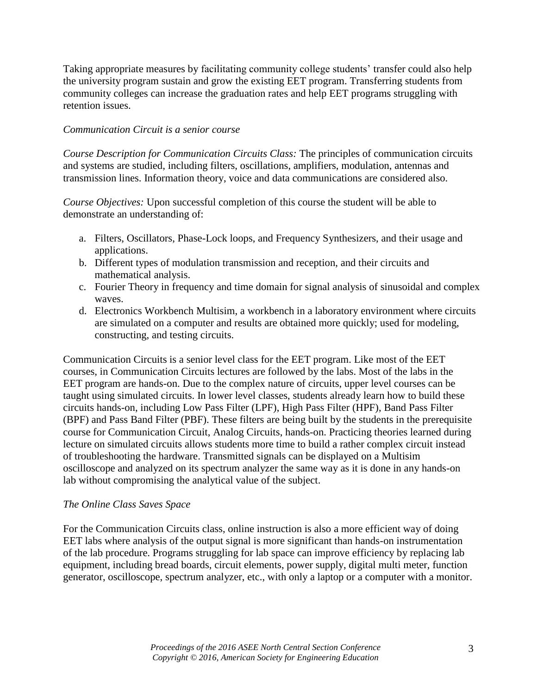Taking appropriate measures by facilitating community college students' transfer could also help the university program sustain and grow the existing EET program. Transferring students from community colleges can increase the graduation rates and help EET programs struggling with retention issues.

## *Communication Circuit is a senior course*

*Course Description for Communication Circuits Class:* The principles of communication circuits and systems are studied, including filters, oscillations, amplifiers, modulation, antennas and transmission lines. Information theory, voice and data communications are considered also.

*Course Objectives:* Upon successful completion of this course the student will be able to demonstrate an understanding of:

- a. Filters, Oscillators, Phase-Lock loops, and Frequency Synthesizers, and their usage and applications.
- b. Different types of modulation transmission and reception, and their circuits and mathematical analysis.
- c. Fourier Theory in frequency and time domain for signal analysis of sinusoidal and complex waves.
- d. Electronics Workbench Multisim, a workbench in a laboratory environment where circuits are simulated on a computer and results are obtained more quickly; used for modeling, constructing, and testing circuits.

Communication Circuits is a senior level class for the EET program. Like most of the EET courses, in Communication Circuits lectures are followed by the labs. Most of the labs in the EET program are hands-on. Due to the complex nature of circuits, upper level courses can be taught using simulated circuits. In lower level classes, students already learn how to build these circuits hands-on, including Low Pass Filter (LPF), High Pass Filter (HPF), Band Pass Filter (BPF) and Pass Band Filter (PBF). These filters are being built by the students in the prerequisite course for Communication Circuit, Analog Circuits, hands-on. Practicing theories learned during lecture on simulated circuits allows students more time to build a rather complex circuit instead of troubleshooting the hardware. Transmitted signals can be displayed on a Multisim oscilloscope and analyzed on its spectrum analyzer the same way as it is done in any hands-on lab without compromising the analytical value of the subject.

### *The Online Class Saves Space*

For the Communication Circuits class, online instruction is also a more efficient way of doing EET labs where analysis of the output signal is more significant than hands-on instrumentation of the lab procedure. Programs struggling for lab space can improve efficiency by replacing lab equipment, including bread boards, circuit elements, power supply, digital multi meter, function generator, oscilloscope, spectrum analyzer, etc., with only a laptop or a computer with a monitor.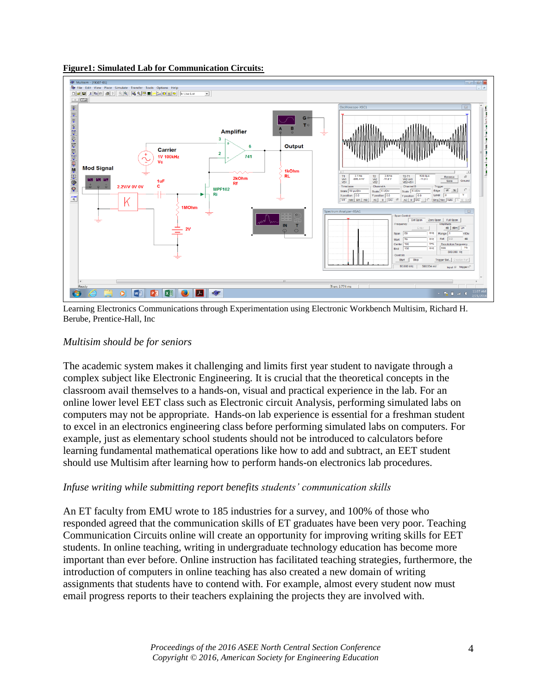



Learning Electronics Communications through Experimentation using Electronic Workbench Multisim, Richard H. Berube, Prentice-Hall, Inc

## *Multisim should be for seniors*

The academic system makes it challenging and limits first year student to navigate through a complex subject like Electronic Engineering. It is crucial that the theoretical concepts in the classroom avail themselves to a hands-on, visual and practical experience in the lab. For an online lower level EET class such as Electronic circuit Analysis, performing simulated labs on computers may not be appropriate. Hands-on lab experience is essential for a freshman student to excel in an electronics engineering class before performing simulated labs on computers. For example, just as elementary school students should not be introduced to calculators before learning fundamental mathematical operations like how to add and subtract, an EET student should use Multisim after learning how to perform hands-on electronics lab procedures.

## *Infuse writing while submitting report benefits students' communication skills*

An ET faculty from EMU wrote to 185 industries for a survey, and 100% of those who responded agreed that the communication skills of ET graduates have been very poor. Teaching Communication Circuits online will create an opportunity for improving writing skills for EET students. In online teaching, writing in undergraduate technology education has become more important than ever before. Online instruction has facilitated teaching strategies, furthermore, the introduction of computers in online teaching has also created a new domain of writing assignments that students have to contend with. For example, almost every student now must email progress reports to their teachers explaining the projects they are involved with.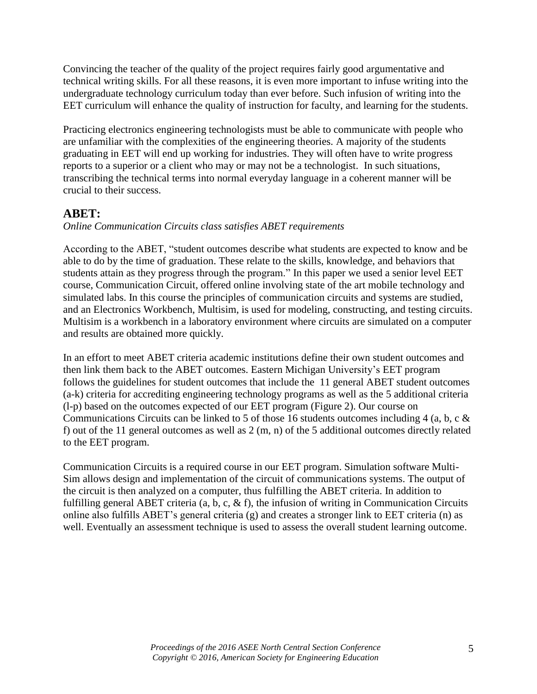Convincing the teacher of the quality of the project requires fairly good argumentative and technical writing skills. For all these reasons, it is even more important to infuse writing into the undergraduate technology curriculum today than ever before. Such infusion of writing into the EET curriculum will enhance the quality of instruction for faculty, and learning for the students.

Practicing electronics engineering technologists must be able to communicate with people who are unfamiliar with the complexities of the engineering theories. A majority of the students graduating in EET will end up working for industries. They will often have to write progress reports to a superior or a client who may or may not be a technologist. In such situations, transcribing the technical terms into normal everyday language in a coherent manner will be crucial to their success.

## **ABET:**

## *Online Communication Circuits class satisfies ABET requirements*

According to the ABET, "student outcomes describe what students are expected to know and be able to do by the time of graduation. These relate to the skills, knowledge, and behaviors that students attain as they progress through the program." In this paper we used a senior level EET course, Communication Circuit, offered online involving state of the art mobile technology and simulated labs. In this course the principles of communication circuits and systems are studied, and an Electronics Workbench, Multisim, is used for modeling, constructing, and testing circuits. Multisim is a workbench in a laboratory environment where circuits are simulated on a computer and results are obtained more quickly.

In an effort to meet ABET criteria academic institutions define their own student outcomes and then link them back to the ABET outcomes. Eastern Michigan University's EET program follows the guidelines for student outcomes that include the 11 general ABET student outcomes (a-k) criteria for accrediting engineering technology programs as well as the 5 additional criteria (l-p) based on the outcomes expected of our EET program (Figure 2). Our course on Communications Circuits can be linked to 5 of those 16 students outcomes including 4 (a, b, c & f) out of the 11 general outcomes as well as 2 (m, n) of the 5 additional outcomes directly related to the EET program.

Communication Circuits is a required course in our EET program. Simulation software Multi-Sim allows design and implementation of the circuit of communications systems. The output of the circuit is then analyzed on a computer, thus fulfilling the ABET criteria. In addition to fulfilling general ABET criteria (a, b, c, & f), the infusion of writing in Communication Circuits online also fulfills ABET's general criteria (g) and creates a stronger link to EET criteria (n) as well. Eventually an assessment technique is used to assess the overall student learning outcome.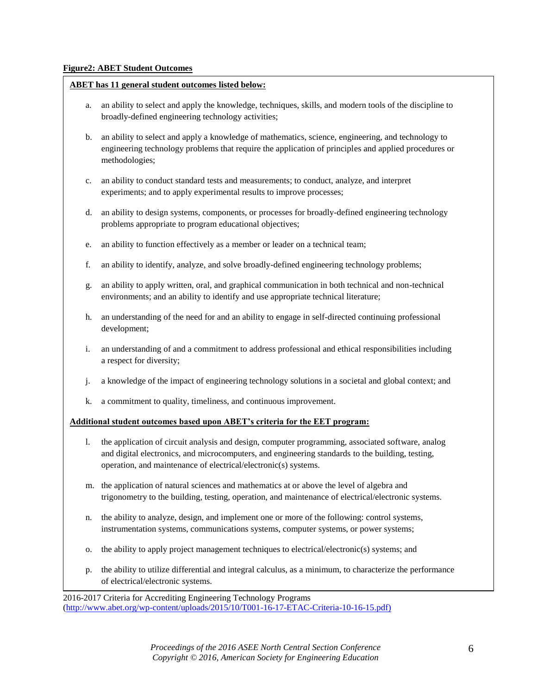### **Figure2: ABET Student Outcomes**

### **ABET has 11 general student outcomes listed below:**

- a. an ability to select and apply the knowledge, techniques, skills, and modern tools of the discipline to broadly-defined engineering technology activities;
- b. an ability to select and apply a knowledge of mathematics, science, engineering, and technology to engineering technology problems that require the application of principles and applied procedures or methodologies;
- c. an ability to conduct standard tests and measurements; to conduct, analyze, and interpret experiments; and to apply experimental results to improve processes;
- d. an ability to design systems, components, or processes for broadly-defined engineering technology problems appropriate to program educational objectives;
- e. an ability to function effectively as a member or leader on a technical team;
- f. an ability to identify, analyze, and solve broadly-defined engineering technology problems;
- g. an ability to apply written, oral, and graphical communication in both technical and non-technical environments; and an ability to identify and use appropriate technical literature;
- h. an understanding of the need for and an ability to engage in self-directed continuing professional development;
- i. an understanding of and a commitment to address professional and ethical responsibilities including a respect for diversity;
- j. a knowledge of the impact of engineering technology solutions in a societal and global context; and
- k. a commitment to quality, timeliness, and continuous improvement.

### **Additional student outcomes based upon ABET's criteria for the EET program:**

- l. the application of circuit analysis and design, computer programming, associated software, analog and digital electronics, and microcomputers, and engineering standards to the building, testing, operation, and maintenance of electrical/electronic(s) systems.
- m. the application of natural sciences and mathematics at or above the level of algebra and trigonometry to the building, testing, operation, and maintenance of electrical/electronic systems.
- n. the ability to analyze, design, and implement one or more of the following: control systems, instrumentation systems, communications systems, computer systems, or power systems;
- o. the ability to apply project management techniques to electrical/electronic(s) systems; and
- p. the ability to utilize differential and integral calculus, as a minimum, to characterize the performance of electrical/electronic systems.

2016-2017 Criteria for Accrediting Engineering Technology Programs [\(http://www.abet.org/wp-content/uploads/2015/10/T001-16-17-ETAC-Criteria-10-16-1](http://www.abet.org/wp-content/uploads/2015/10/T001-16-17-ETAC-Criteria-10-16-)5.pdf)